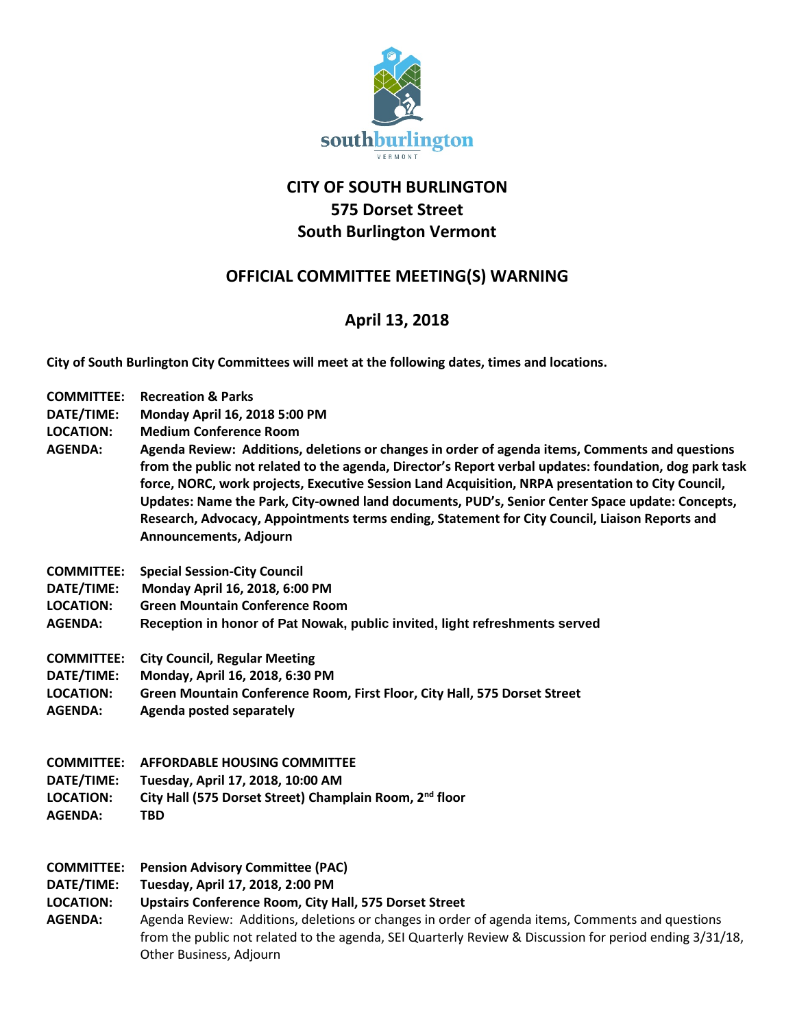

## **CITY OF SOUTH BURLINGTON 575 Dorset Street South Burlington Vermont**

## **OFFICIAL COMMITTEE MEETING(S) WARNING**

## **April 13, 2018**

**City of South Burlington City Committees will meet at the following dates, times and locations.** 

| <b>COMMITTEE:</b><br>DATE/TIME:<br><b>LOCATION:</b><br><b>AGENDA:</b> | <b>Recreation &amp; Parks</b><br>Monday April 16, 2018 5:00 PM<br><b>Medium Conference Room</b><br>Agenda Review: Additions, deletions or changes in order of agenda items, Comments and questions<br>from the public not related to the agenda, Director's Report verbal updates: foundation, dog park task<br>force, NORC, work projects, Executive Session Land Acquisition, NRPA presentation to City Council,<br>Updates: Name the Park, City-owned land documents, PUD's, Senior Center Space update: Concepts, |
|-----------------------------------------------------------------------|-----------------------------------------------------------------------------------------------------------------------------------------------------------------------------------------------------------------------------------------------------------------------------------------------------------------------------------------------------------------------------------------------------------------------------------------------------------------------------------------------------------------------|
|                                                                       | Research, Advocacy, Appointments terms ending, Statement for City Council, Liaison Reports and<br>Announcements, Adjourn                                                                                                                                                                                                                                                                                                                                                                                              |
| <b>COMMITTEE:</b>                                                     | <b>Special Session-City Council</b>                                                                                                                                                                                                                                                                                                                                                                                                                                                                                   |
| DATE/TIME:                                                            | Monday April 16, 2018, 6:00 PM                                                                                                                                                                                                                                                                                                                                                                                                                                                                                        |
| <b>LOCATION:</b>                                                      | <b>Green Mountain Conference Room</b>                                                                                                                                                                                                                                                                                                                                                                                                                                                                                 |
| <b>AGENDA:</b>                                                        | Reception in honor of Pat Nowak, public invited, light refreshments served                                                                                                                                                                                                                                                                                                                                                                                                                                            |
| <b>COMMITTEE:</b>                                                     | <b>City Council, Regular Meeting</b>                                                                                                                                                                                                                                                                                                                                                                                                                                                                                  |
| DATE/TIME:                                                            | Monday, April 16, 2018, 6:30 PM                                                                                                                                                                                                                                                                                                                                                                                                                                                                                       |
| <b>LOCATION:</b>                                                      | Green Mountain Conference Room, First Floor, City Hall, 575 Dorset Street                                                                                                                                                                                                                                                                                                                                                                                                                                             |
| <b>AGENDA:</b>                                                        | <b>Agenda posted separately</b>                                                                                                                                                                                                                                                                                                                                                                                                                                                                                       |
| <b>COMMITTEE:</b>                                                     | <b>AFFORDABLE HOUSING COMMITTEE</b>                                                                                                                                                                                                                                                                                                                                                                                                                                                                                   |
| DATE/TIME:                                                            | Tuesday, April 17, 2018, 10:00 AM                                                                                                                                                                                                                                                                                                                                                                                                                                                                                     |
| <b>LOCATION:</b>                                                      | City Hall (575 Dorset Street) Champlain Room, 2 <sup>nd</sup> floor                                                                                                                                                                                                                                                                                                                                                                                                                                                   |
| <b>AGENDA:</b>                                                        | <b>TBD</b>                                                                                                                                                                                                                                                                                                                                                                                                                                                                                                            |
| <b>COMMITTEE:</b><br>DATE/TIME:<br><b>LOCATION:</b><br><b>AGENDA:</b> | <b>Pension Advisory Committee (PAC)</b><br>Tuesday, April 17, 2018, 2:00 PM<br><b>Upstairs Conference Room, City Hall, 575 Dorset Street</b><br>Agenda Review: Additions, deletions or changes in order of agenda items, Comments and questions<br>from the public not related to the agenda, SEI Quarterly Review & Discussion for period ending 3/31/18,<br>Other Business, Adjourn                                                                                                                                 |